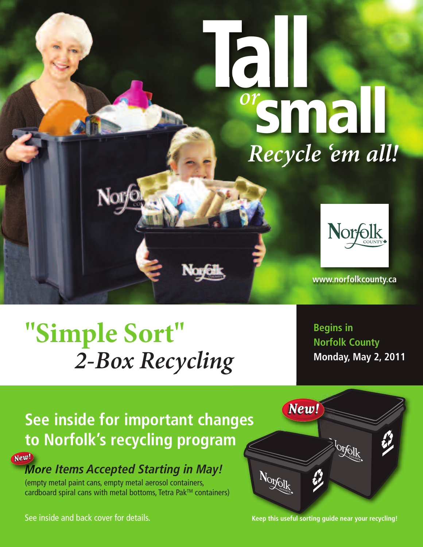

# **"Simple Sort"** *2-Box Recycling*

**Begins in Norfolk County Monday, May 2, 2011**

 $\bigotimes^1\!\!\!\mathbb{Q}^1$ 

## **See inside for important changes to Norfolk's recycling program**

New! **More Items Accepted Starting in May!**

(empty metal paint cans, empty metal aerosol containers, cardboard spiral cans with metal bottoms, Tetra Pak™ containers)

See inside and back cover for details. **Keep this useful sorting guide near your recycling!**

New!

 $N_{Q_{\mathcal{Y} \oplus \mathcal{U}}^{(k)}}$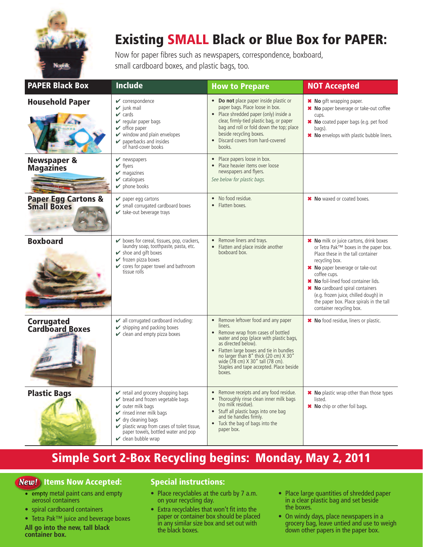

## Existing SMALL Black or Blue Box for PAPER:

Now for paper fibres such as newspapers, correspondence, boxboard, small cardboard boxes, and plastic bags, too.

| <b>PAPER Black Box</b>                     | <b>Include</b>                                                                                                                                                                                                                                                                                                                         | <b>How to Prepare</b>                                                                                                                                                                                                                                                                                                                                                   | <b>NOT Accepted</b>                                                                                                                                                                                                                                                                                                                                                                     |
|--------------------------------------------|----------------------------------------------------------------------------------------------------------------------------------------------------------------------------------------------------------------------------------------------------------------------------------------------------------------------------------------|-------------------------------------------------------------------------------------------------------------------------------------------------------------------------------------------------------------------------------------------------------------------------------------------------------------------------------------------------------------------------|-----------------------------------------------------------------------------------------------------------------------------------------------------------------------------------------------------------------------------------------------------------------------------------------------------------------------------------------------------------------------------------------|
| <b>Household Paper</b>                     | $\mathbf{\checkmark}$ correspondence<br>$\mathbf{v}$ junk mail<br>$\mathbf{\nabla}$ cards<br>$\mathbf y$ regular paper bags<br>$\mathbf{\checkmark}$ office paper<br>$\checkmark$ window and plain envelopes<br>$\triangleright$ paperbacks and insides<br>of hard-cover books                                                         | • Do not place paper inside plastic or<br>paper bags. Place loose in box.<br>• Place shredded paper (only) inside a<br>clear, firmly-tied plastic bag, or paper<br>bag and roll or fold down the top; place<br>beside recycling boxes.<br>Discard covers from hard-covered<br>books.                                                                                    | <b>*</b> No gift wrapping paper.<br>* No paper beverage or take-out coffee<br>cups.<br>* No coated paper bags (e.g. pet food<br>bags).<br>* No envelops with plastic bubble liners.                                                                                                                                                                                                     |
| <b>Newspaper &amp;</b><br><b>Magazines</b> | $\blacktriangleright$ newspapers<br>$\blacktriangleright$ flyers<br>$\triangleright$ magazines<br>$\mathbf{\checkmark}$ catalogues<br>$\blacktriangleright$ phone books                                                                                                                                                                | Place papers loose in box.<br>$\bullet$<br>• Place heavier items over loose<br>newspapers and flyers.<br>See below for plastic bags.                                                                                                                                                                                                                                    |                                                                                                                                                                                                                                                                                                                                                                                         |
| <b>Paper Egg Cartons &amp; Small Boxes</b> | $\blacktriangleright$ paper egg cartons<br>Small corrugated cardboard boxes<br>$\mathbf{\checkmark}$ take-out beverage trays                                                                                                                                                                                                           | No food residue.<br>$\bullet$<br>Flatten boxes.<br>$\bullet$                                                                                                                                                                                                                                                                                                            | * No waxed or coated boxes.                                                                                                                                                                                                                                                                                                                                                             |
| <b>Boxboard</b>                            | $\triangleright$ boxes for cereal, tissues, pop, crackers,<br>laundry soap, toothpaste, pasta, etc.<br>$\triangleright$ shoe and gift boxes<br>$\checkmark$ frozen pizza boxes<br>$\checkmark$ cores for paper towel and bathroom<br>tissue rolls                                                                                      | Remove liners and trays.<br>$\bullet$<br>Flatten and place inside another<br>$\bullet$<br>boxboard box.                                                                                                                                                                                                                                                                 | * No milk or juice cartons, drink boxes<br>or Tetra Pak™ boxes in the paper box.<br>Place these in the tall container<br>recycling box.<br>* No paper beverage or take-out<br>coffee cups.<br>* No foil-lined food container lids.<br>* No cardboard spiral containers<br>(e.g. frozen juice, chilled dough) in<br>the paper box. Place spirals in the tall<br>container recycling box. |
| <b>Corrugated<br/>Cardboard Boxes</b>      | $\triangleright$ all corrugated cardboard including:<br>$\triangleright$ shipping and packing boxes<br>$\checkmark$ clean and empty pizza boxes                                                                                                                                                                                        | Remove leftover food and any paper<br>$\bullet$<br>liners.<br>Remove wrap from cases of bottled<br>$\bullet$<br>water and pop (place with plastic bags,<br>as directed below).<br>Flatten large boxes and tie in bundles<br>$\bullet$<br>no larger than 8" thick (20 cm) X 30"<br>wide (78 cm) X 30" tall (78 cm).<br>Staples and tape accepted. Place beside<br>boxes. | * No food residue, liners or plastic.                                                                                                                                                                                                                                                                                                                                                   |
| <b>Plastic Bags</b>                        | retail and grocery shopping bags<br>✔ bread and frozen vegetable bags<br>$\mathbf v$ outer milk bags<br>$\checkmark$ rinsed inner milk bags<br>$\mathbf{\checkmark}$ dry cleaning bags<br>$\triangleright$ plastic wrap from cases of toilet tissue,<br>paper towels, bottled water and pop<br>$\mathbf{\checkmark}$ clean bubble wrap | Remove receipts and any food residue.<br>$\bullet$<br>Thoroughly rinse clean inner milk bags<br>(no milk residue).<br>• Stuff all plastic bags into one bag<br>and tie handles firmly.<br>Tuck the bag of bags into the<br>$\bullet$<br>paper box.                                                                                                                      | * No plastic wrap other than those types<br>listed.<br>* No chip or other foil bags.                                                                                                                                                                                                                                                                                                    |

### Simple Sort 2-Box Recycling begins: Monday, May 2, 2011

### **New!** Items Now Accepted:

- empty metal paint cans and empty aerosol containers
- spiral cardboard containers
- Tetra Pak™ juice and beverage boxes **All go into the new, tall black container box.**

#### Special instructions:

- Place recyclables at the curb by 7 a.m. on your recycling day.
- Extra recyclables that won't fit into the paper or container box should be placed in any similar size box and set out with the black boxes.
- Place large quantities of shredded paper in a clear plastic bag and set beside the boxes.
- On windy days, place newspapers in a grocery bag, leave untied and use to weigh down other papers in the paper box.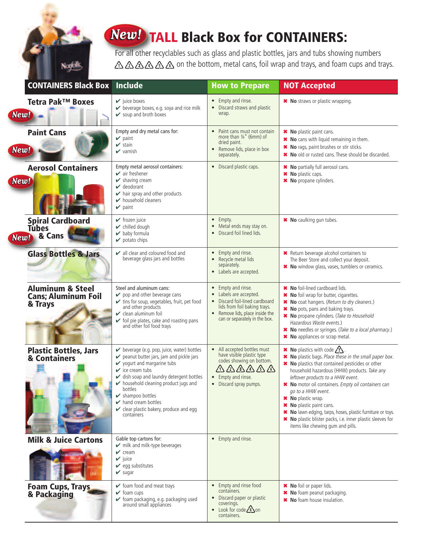## **New!** TALL Black Box for CONTAINERS:

Norfolk,

For all other recyclables such as glass and plastic bottles, jars and tubs showing numbers △△△△△△ • on the bottom, metal cans, foil wrap and trays, and foam cups and trays.

| <b>CONTAINERS Black Box</b>                                          | <b>Include</b>                                                                                                                                                                                                                                                                                                                                                                                                          | <b>How to Prepare</b>                                                                                                                                                                       | <b>NOT Accepted</b>                                                                                                                                                                                                                                                                                                                                                                                                                                                                                                                                 |
|----------------------------------------------------------------------|-------------------------------------------------------------------------------------------------------------------------------------------------------------------------------------------------------------------------------------------------------------------------------------------------------------------------------------------------------------------------------------------------------------------------|---------------------------------------------------------------------------------------------------------------------------------------------------------------------------------------------|-----------------------------------------------------------------------------------------------------------------------------------------------------------------------------------------------------------------------------------------------------------------------------------------------------------------------------------------------------------------------------------------------------------------------------------------------------------------------------------------------------------------------------------------------------|
| Tetra Pak <sup>™</sup> Boxes<br><b>New!</b>                          | $\mathbf{\checkmark}$ juice boxes<br>beverage boxes, e.g. soya and rice milk<br>✔ soup and broth boxes                                                                                                                                                                                                                                                                                                                  | Empty and rinse.<br>$\bullet$<br>Discard straws and plastic<br>wrap.                                                                                                                        | * No straws or plastic wrapping.                                                                                                                                                                                                                                                                                                                                                                                                                                                                                                                    |
| <b>Paint Cans</b><br>New!                                            | Empty and dry metal cans for:<br>$\vee$ paint<br>$\mathbf{v}$ stain<br>$\vee$ varnish                                                                                                                                                                                                                                                                                                                                   | Paint cans must not contain<br>more than $\frac{1}{4}$ " (6mm) of<br>dried paint.<br>• Remove lids, place in box<br>separately.                                                             | * No plastic paint cans.<br>* No cans with liquid remaining in them.<br>* No rags, paint brushes or stir sticks.<br>* No old or rusted cans. These should be discarded.                                                                                                                                                                                                                                                                                                                                                                             |
| <b>Aerosol Containers</b><br>New!                                    | Empty metal aerosol containers:<br>$\mathbf{\mathsf{v}}$ air freshener<br>$\triangleright$ shaving cream<br>$\vee$ deodorant<br>$\blacktriangleright$ hair spray and other products<br>$\blacktriangleright$ household cleaners<br>$\vee$ paint                                                                                                                                                                         | • Discard plastic caps.                                                                                                                                                                     | * No partially full aerosol cans.<br>* No plastic caps.<br>* No propane cylinders.                                                                                                                                                                                                                                                                                                                                                                                                                                                                  |
| <b>Spiral Cardboard</b><br><b>Tubes</b><br>New! & Cans               | $\checkmark$ frozen juice<br>$\mathbf{\checkmark}$ chilled dough<br>$\blacktriangleright$ baby formula<br>$\mathbf y$ potato chips                                                                                                                                                                                                                                                                                      | $\bullet$ Empty.<br>Metal ends may stay on.<br>$\bullet$<br>Discard foil lined lids.<br>$\bullet$                                                                                           | * No caulking gun tubes.                                                                                                                                                                                                                                                                                                                                                                                                                                                                                                                            |
| <b>Glass Bottles &amp; Jars</b>                                      | $\triangleright$ all clear and coloured food and<br>beverage glass jars and bottles                                                                                                                                                                                                                                                                                                                                     | • Empty and rinse.<br>• Recycle metal lids<br>separately.<br>• Labels are accepted.                                                                                                         | * Return beverage alcohol containers to<br>The Beer Store and collect your deposit.<br>* No window glass, vases, tumblers or ceramics.                                                                                                                                                                                                                                                                                                                                                                                                              |
| <b>Aluminum &amp; Steel</b><br><b>Cans; Aluminum Foil</b><br>& Trays | Steel and aluminum cans:<br>$\triangleright$ pop and other beverage cans<br>v tins for soup, vegetables, fruit, pet food<br>and other products<br>$\mathcal V$ clean aluminum foil<br>✔ foil pie plates, cake and roasting pans<br>and other foil food trays                                                                                                                                                            | Empty and rinse.<br>$\bullet$<br>Labels are accepted.<br>• Discard foil-lined cardboard<br>lids from foil baking trays.<br>• Remove lids, place inside the<br>can or separately in the box. | * No foil-lined cardboard lids.<br>* No foil wrap for butter, cigarettes.<br>* No coat hangers. (Return to dry cleaners.)<br>* No pots, pans and baking trays.<br>* No propane cylinders. (Take to Household<br>Hazardous Waste events.)<br>* No needles or syringes. (Take to a local pharmacy.)<br>* No appliances or scrap metal.                                                                                                                                                                                                                |
| <b>Plastic Bottles, Jars</b><br>& Containers                         | beverage (e.g. pop, juice, water) bottles<br>peanut butter jars, jam and pickle jars<br>$\checkmark$ yogurt and margarine tubs<br>$\mathcal V$ ice cream tubs<br>dish soap and laundry detergent bottles<br>$\triangleright$ household cleaning product jugs and<br>bottles<br>$\blacktriangleright$ shampoo bottles<br>$\blacktriangleright$ hand cream bottles<br>clear plastic bakery, produce and egg<br>containers | • All accepted bottles must<br>have visible plastic type<br>codes showing on bottom.<br>介分公分<br>• Empty and rinse.<br>• Discard spray pumps.                                                | <b>*</b> No plastics with code $\sqrt{?}$<br>* No plastic bags. Place these in the small paper box.<br>* No plastics that contained pesticides or other<br>household hazardous (HHW) products. Take any<br>leftover products to a HHW event.<br>* No motor oil containers. Empty oil containers can<br>go to a HHW event.<br><b>*</b> No plastic wrap.<br>* No plastic paint cans.<br>* No lawn edging, tarps, hoses, plastic furniture or toys.<br>* No plastic blister packs, i.e. inner plastic sleeves for<br>items like chewing gum and pills. |
| <b>Milk &amp; Juice Cartons</b>                                      | Gable top cartons for:<br>$\mathcal V$ milk and milk-type beverages<br>$\mathbf{v}$ cream<br>$\vee$ juice<br>$\mathbf{\checkmark}$ egg substitutes<br>$\mathbf{v}$ sugar                                                                                                                                                                                                                                                | • Empty and rinse.                                                                                                                                                                          |                                                                                                                                                                                                                                                                                                                                                                                                                                                                                                                                                     |
| <b>Foam Cups, Trays</b><br>& Packaging                               | $\checkmark$ foam food and meat trays<br>$\mathbf{\checkmark}$ foam cups<br>✔ foam packaging, e.g. packaging used<br>around small appliances                                                                                                                                                                                                                                                                            | Empty and rinse food<br>$\bullet$<br>containers.<br>Discard paper or plastic<br>coverings.<br>$\bullet$ Look for code $\bigcirc$ on<br>containers.                                          | * No foil or paper lids.<br>* No foam peanut packaging.<br>* No foam house insulation.                                                                                                                                                                                                                                                                                                                                                                                                                                                              |